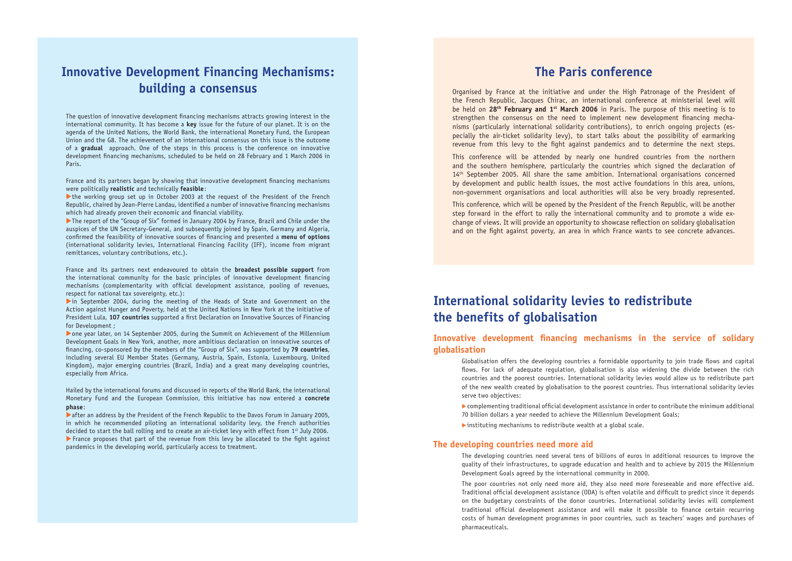### **Innovative Development Financing Mechanisms: building a consensus**

The question of innovative development financing mechanisms attracts growing interest in the international community. It has become a **key** issue for the future of our planet. It is on the agenda of the United Nations, the World Bank, the international Monetary Fund, the European Union and the G8. The achievement of an international consensus on this issue is the outcome of a **gradual** approach. One of the steps in this process is the conference on innovative development financing mechanisms, scheduled to be held on 28 February and 1 March 2006 in Paris.

France and its partners began by showing that innovative development financing mechanisms were politically **realistic** and technically **feasible**:

the working group set up in October 2003 at the request of the President of the French Republic, chaired by Jean-Pierre Landau, identified a number of innovative financing mechanisms which had already proven their economic and financial viability.

 $\blacktriangleright$  The report of the "Group of Six" formed in January 2004 by France, Brazil and Chile under the auspices of the UN Secretary-General, and subsequently joined by Spain, Germany and Algeria, confirmed the feasibility of innovative sources of financing and presented a **menu of options** (international solidarity levies, International Financing Facility (IFF), income from migrant remittances, voluntary contributions, etc.).

in September 2004, during the meeting of the Heads of State and Government on the Action against Hunger and Poverty, held at the United Nations in New York at the initiative of President Lula, 107 countries supported a first Declaration on Innovative Sources of Financing for Development ;

**Example 2005** After an address by the President of the French Republic to the Davos Forum in January 2005, in which he recommended piloting an international solidarity levy, the French authorities decided to start the ball rolling and to create an air-ticket levy with effect from 1<sup>st</sup> July 2006.  $\blacktriangleright$  France proposes that part of the revenue from this levy be allocated to the fight against pandemics in the developing world, particularly access to treatment.

France and its partners next endeavoured to obtain the **broadest possible support** from the international community for the basic principles of innovative development financing mechanisms (complementarity with official development assistance, pooling of revenues, respect for national tax sovereignty, etc.):

#### **Innovative development financing mechanisms in the service of solidary globalisation**

Globalisation offers the developing countries a formidable opportunity to join trade flows and capital flows. For lack of adequate regulation, globalisation is also widening the divide between the rich countries and the poorest countries. International solidarity levies would allow us to redistribute part of the new wealth created by globalisation to the poorest countries. Thus international solidarity levies serve two objectives:

 $\triangleright$  complementing traditional official development assistance in order to contribute the minimum additional 70 billion dollars a year needed to achieve the Millennium Development Goals;

 $\blacktriangleright$  instituting mechanisms to redistribute wealth at a global scale.

Xone year later, on 14 September 2005, during the Summit on Achievement of the Millennium Development Goals in New York, another, more ambitious declaration on innovative sources of financing, co-sponsored by the members of the "Group of Six", was supported by 79 countries, including several EU Member States (Germany, Austria, Spain, Estonia, Luxembourg, United Kingdom), major emerging countries (Brazil, India) and a great many developing countries, especially from Africa.

Organised by France at the initiative and under the High Patronage of the President of the French Republic, Jacques Chirac, an international conference at ministerial level will be held on **28th February and 1st March 2006** in Paris. The purpose of this meeting is to strengthen the consensus on the need to implement new development financing mechanisms (particularly international solidarity contributions), to enrich ongoing projects (especially the air-ticket solidarity levy), to start talks about the possibility of earmarking revenue from this levy to the fight against pandemics and to determine the next steps.

Hailed by the international forums and discussed in reports of the World Bank, the international Monetary Fund and the European Commission, this initiative has now entered a **concrete phase**:

This conference, which will be opened by the President of the French Republic, will be another step forward in the effort to rally the international community and to promote a wide exchange of views. It will provide an opportunity to showcase reflection on solidary globalisation and on the fight against poverty, an area in which France wants to see concrete advances.

## **International solidarity levies to redistribute the benefits of globalisation**

#### **The developing countries need more aid**

The developing countries need several tens of billions of euros in additional resources to improve the quality of their infrastructures, to upgrade education and health and to achieve by 2015 the Millennium Development Goals agreed by the international community in 2000.

The poor countries not only need more aid, they also need more foreseeable and more effective aid. Traditional official development assistance (ODA) is often volatile and difficult to predict since it depends on the budgetary constraints of the donor countries. International solidarity levies will complement traditional official development assistance and will make it possible to finance certain recurring costs of human development programmes in poor countries, such as teachers' wages and purchases of pharmaceuticals.

### **The Paris conference**

This conference will be attended by nearly one hundred countries from the northern and the southern hemisphere, particularly the countries which signed the declaration of  $14<sup>th</sup>$  September 2005. All share the same ambition. International organisations concerned by development and public health issues, the most active foundations in this area, unions, non-government organisations and local authorities will also be very broadly represented.